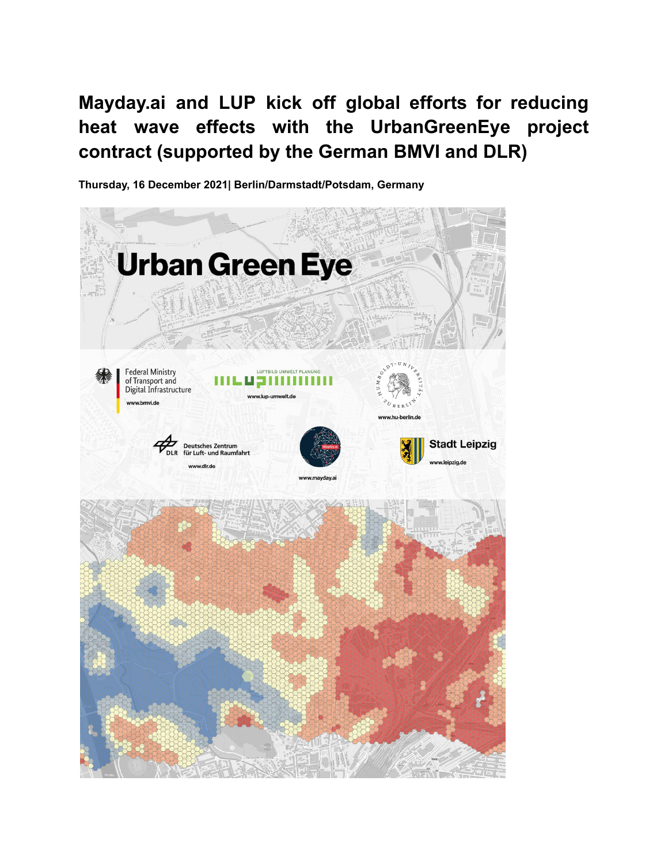**Mayday.ai and LUP kick off global efforts for reducing heat wave effects with the UrbanGreenEye project contract (supported by the German BMVI and DLR)**

**Thursday, 16 December 2021| Berlin/Darmstadt/Potsdam, Germany**

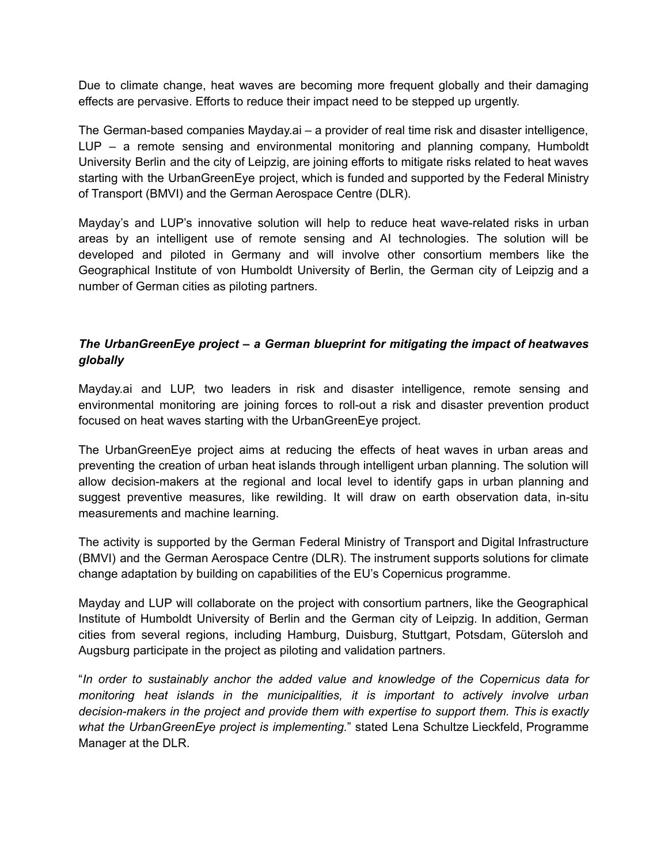Due to climate change, heat waves are becoming more frequent globally and their damaging effects are pervasive. Efforts to reduce their impact need to be stepped up urgently.

The German-based companies Mayday.ai – a provider of real time risk and disaster intelligence, LUP – a remote sensing and environmental monitoring and planning company, Humboldt University Berlin and the city of Leipzig, are joining efforts to mitigate risks related to heat waves starting with the UrbanGreenEye project, which is funded and supported by the Federal Ministry of Transport (BMVI) and the German Aerospace Centre (DLR).

Mayday's and LUP's innovative solution will help to reduce heat wave-related risks in urban areas by an intelligent use of remote sensing and AI technologies. The solution will be developed and piloted in Germany and will involve other consortium members like the Geographical Institute of von Humboldt University of Berlin, the German city of Leipzig and a number of German cities as piloting partners.

## *The UrbanGreenEye project – a German blueprint for mitigating the impact of heatwaves globally*

Mayday.ai and LUP, two leaders in risk and disaster intelligence, remote sensing and environmental monitoring are joining forces to roll-out a risk and disaster prevention product focused on heat waves starting with the UrbanGreenEye project.

The UrbanGreenEye project aims at reducing the effects of heat waves in urban areas and preventing the creation of urban heat islands through intelligent urban planning. The solution will allow decision-makers at the regional and local level to identify gaps in urban planning and suggest preventive measures, like rewilding. It will draw on earth observation data, in-situ measurements and machine learning.

The activity is supported by the German Federal Ministry of Transport and Digital Infrastructure (BMVI) and the German Aerospace Centre (DLR). The instrument supports solutions for climate change adaptation by building on capabilities of the EU's Copernicus programme.

Mayday and LUP will collaborate on the project with consortium partners, like the Geographical Institute of Humboldt University of Berlin and the German city of Leipzig. In addition, German cities from several regions, including Hamburg, Duisburg, Stuttgart, Potsdam, Gütersloh and Augsburg participate in the project as piloting and validation partners.

"*In order to sustainably anchor the added value and knowledge of the Copernicus data for monitoring heat islands in the municipalities, it is important to actively involve urban decision-makers in the project and provide them with expertise to support them. This is exactly what the UrbanGreenEye project is implementing.*" stated Lena Schultze Lieckfeld, Programme Manager at the DLR.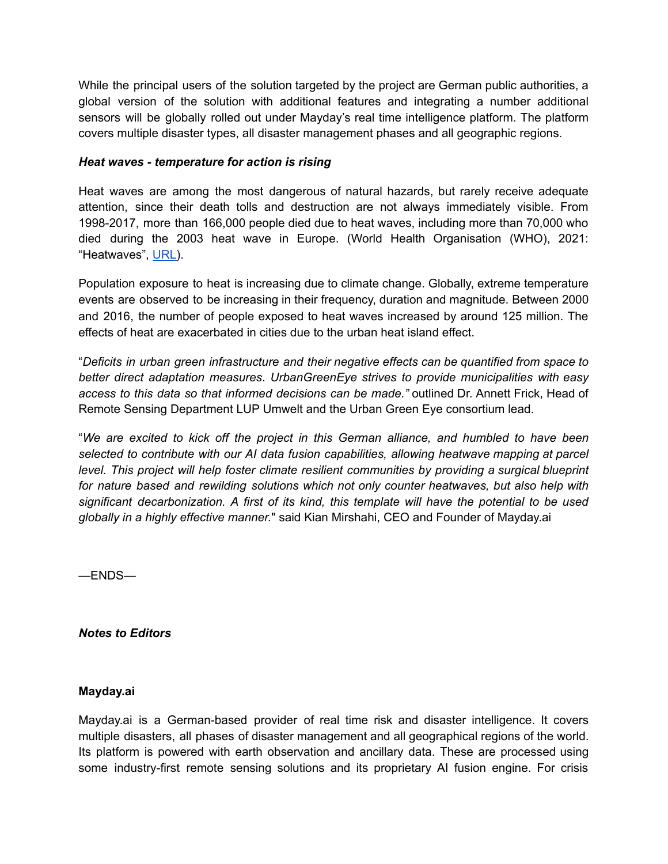While the principal users of the solution targeted by the project are German public authorities, a global version of the solution with additional features and integrating a number additional sensors will be globally rolled out under Mayday's real time intelligence platform. The platform covers multiple disaster types, all disaster management phases and all geographic regions.

## *Heat waves - temperature for action is rising*

Heat waves are among the most dangerous of natural hazards, but rarely receive adequate attention, since their death tolls and destruction are not always immediately visible. From 1998-2017, more than 166,000 people died due to heat waves, including more than 70,000 who died during the 2003 heat wave in Europe. (World Health Organisation (WHO), 2021: "Heatwaves", [URL\)](https://www.who.int/health-topics/heatwaves#tab=tab_1).

Population exposure to heat is increasing due to climate change. Globally, extreme temperature events are observed to be increasing in their frequency, duration and magnitude. Between 2000 and 2016, the number of people exposed to heat waves increased by around 125 million. The effects of heat are exacerbated in cities due to the urban heat island effect.

"*Deficits in urban green infrastructure and their negative effects can be quantified from space to better direct adaptation measures*. *UrbanGreenEye strives to provide municipalities with easy access to this data so that informed decisions can be made."* outlined Dr. Annett Frick, Head of Remote Sensing Department LUP Umwelt and the Urban Green Eye consortium lead.

"*We are excited to kick off the project in this German alliance, and humbled to have been selected to contribute with our AI data fusion capabilities, allowing heatwave mapping at parcel level. This project will help foster climate resilient communities by providing a surgical blueprint for nature based and rewilding solutions which not only counter heatwaves, but also help with significant decarbonization. A first of its kind, this template will have the potential to be used globally in a highly effective manner.*" said Kian Mirshahi, CEO and Founder of Mayday.ai

—ENDS—

*Notes to Editors*

## **Mayday.ai**

Mayday.ai is a German-based provider of real time risk and disaster intelligence. It covers multiple disasters, all phases of disaster management and all geographical regions of the world. Its platform is powered with earth observation and ancillary data. These are processed using some industry-first remote sensing solutions and its proprietary AI fusion engine. For crisis